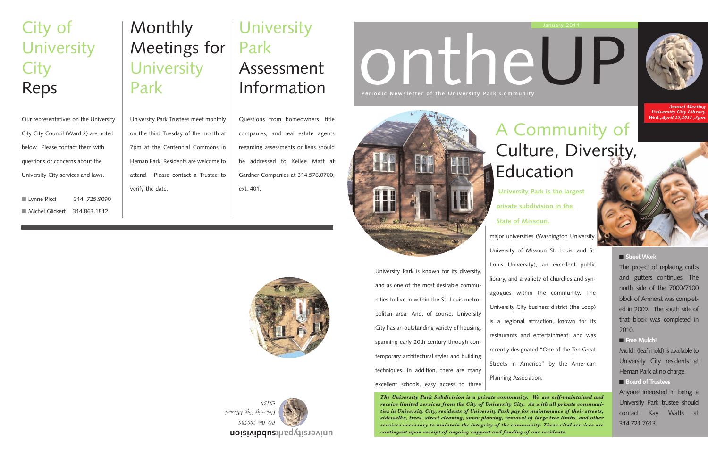# ontheUP

*The University Park Subdivision is a private community. We are self-maintained and receive limited services from the City of University City. As with all private communities in University City, residents of University Park pay for maintenance of their streets, sidewalks, trees, street cleaning, snow plowing, removal of large tree limbs, and other services necessary to maintain the integrity of the community. These vital services are contingent upon receipt of ongoing support and funding of our residents.*



| University Park is known for its diversity,   |
|-----------------------------------------------|
| and as one of the most desirable commu-       |
| nities to live in within the St. Louis metro- |
| politan area. And, of course, University      |
| City has an outstanding variety of housing,   |
| spanning early 20th century through con-      |
| temporary architectural styles and building   |
| techniques. In addition, there are many       |
| excellent schools, easy access to three       |
|                                               |

## **University** Park Assessment Information

**Periodic Newsletter of the University Park Community** 





*Annual Meeting University City Library Wed.,April 13,2011 ,7pm*

**University Park is the largest**

**private subdivision in the** 

#### **State of Missouri.**



## Monthly Meetings for University Park

University Park Trustees meet monthly on the third Tuesday of the month at 7pm at the Centennial Commons in Heman Park. Residents are welcome to attend. Please contact a Trustee to verify the date.

## City of **University City** Reps

Our representatives on the University City City Council (Ward 2) are noted below. Please contact them with questions or concerns about the University City services and laws.

■ Lynne Ricci 314. 725.9090 ■ Michel Glickert 314.863.1812

Questions from homeowners, title companies, and real estate agents regarding assessments or liens should be addressed to Kellee Matt at Gardner Companies at 314.576.0700, ext. 401.



The project of replacing curbs and gutters continues. The north side of the 7000/7100 block of Amherst was completed in 2009. The south side of that block was completed in 2010.

#### ■ **Free Mulch!**

Mulch (leaf mold) is available to University City residents at Heman Park at no charge.

### ■ **Board of Trustees**

Anyone interested in being a University Park trustee should contact Kay Watts at 314.721.7613.

## A Community of Culture, Diversity, Education

major universities (Washington University, University of Missouri St. Louis, and St. Louis University), an excellent public library, and a variety of churches and synagogues within the community. The University City business district (the Loop) is a regional attraction, known for its restaurants and entertainment, and was recently designated "One of the Ten Great Streets in America" by the American Planning Association.



#### ■ Street Work